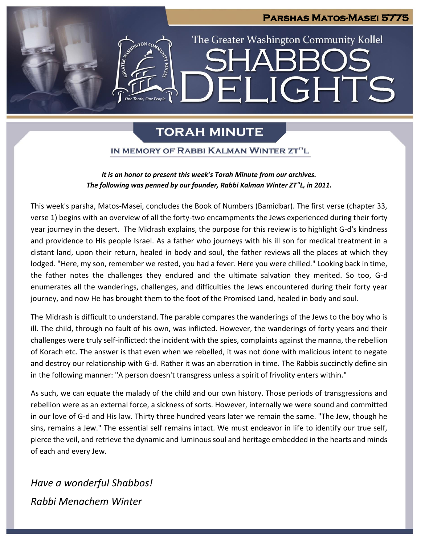# **Parshas Matos-Masei 5775** The Greater Washington Community Kollel ELIGHTS

# **TORAH MINUTE**

## IN MEMORY OF RABBI KALMAN WINTER ZT"L

### *It is an honor to present this week's Torah Minute from our archives. The following was penned by our founder, Rabbi Kalman Winter ZT"L, in 2011.*

This week's parsha, Matos-Masei, concludes the Book of Numbers (Bamidbar). The first verse (chapter 33, verse 1) begins with an overview of all the forty-two encampments the Jews experienced during their forty year journey in the desert. The Midrash explains, the purpose for this review is to highlight G-d's kindness and providence to His people Israel. As a father who journeys with his ill son for medical treatment in a distant land, upon their return, healed in body and soul, the father reviews all the places at which they lodged. "Here, my son, remember we rested, you had a fever. Here you were chilled." Looking back in time, the father notes the challenges they endured and the ultimate salvation they merited. So too, G-d enumerates all the wanderings, challenges, and difficulties the Jews encountered during their forty year journey, and now He has brought them to the foot of the Promised Land, healed in body and soul.

The Midrash is difficult to understand. The parable compares the wanderings of the Jews to the boy who is ill. The child, through no fault of his own, was inflicted. However, the wanderings of forty years and their challenges were truly self-inflicted: the incident with the spies, complaints against the manna, the rebellion of Korach etc. The answer is that even when we rebelled, it was not done with malicious intent to negate and destroy our relationship with G-d. Rather it was an aberration in time. The Rabbis succinctly define sin in the following manner: "A person doesn't transgress unless a spirit of frivolity enters within."

As such, we can equate the malady of the child and our own history. Those periods of transgressions and rebellion were as an external force, a sickness of sorts. However, internally we were sound and committed in our love of G-d and His law. Thirty three hundred years later we remain the same. "The Jew, though he sins, remains a Jew." The essential self remains intact. We must endeavor in life to identify our true self, pierce the veil, and retrieve the dynamic and luminous soul and heritage embedded in the hearts and minds of each and every Jew.

*Have a wonderful Shabbos! Rabbi Menachem Winter*